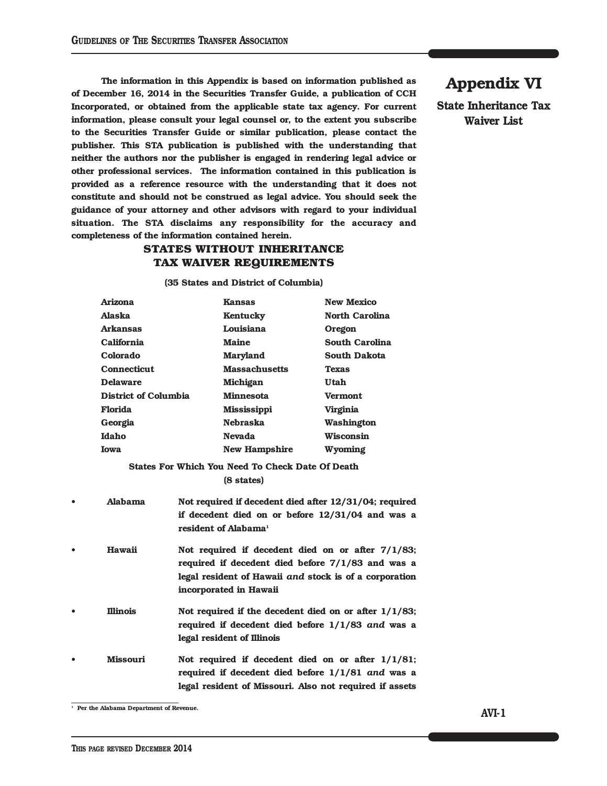**The information in this Appendix is based on information published as of December 16, 2014 in the Securities Transfer Guide, a publication of CCH Incorporated, or obtained from the applicable state tax agency. For current information, please consult your legal counsel or, to the extent you subscribe to the Securities Transfer Guide or similar publication, please contact the publisher. This STA publication is published with the understanding that neither the authors nor the publisher is engaged in rendering legal advice or other professional services. The information contained in this publication is provided as a reference resource with the understanding that it does not constitute and should not be construed as legal advice. You should seek the guidance of your attorney and other advisors with regard to your individual situation. The STA disclaims any responsibility for the accuracy and completeness of the information contained herein.**

## **STATES WITHOUT INHERITANCE TAX WAIVER REQUIREMENTS**

**(35 States and District of Columbia)**

|           | <b>Arizona</b>       |                                                                                                                                                                                                 | <b>Kansas</b>                                    | <b>New Mexico</b>     |
|-----------|----------------------|-------------------------------------------------------------------------------------------------------------------------------------------------------------------------------------------------|--------------------------------------------------|-----------------------|
|           | Alaska               |                                                                                                                                                                                                 | Kentucky                                         | <b>North Carolina</b> |
|           | <b>Arkansas</b>      |                                                                                                                                                                                                 | Louisiana                                        | Oregon                |
|           | California           |                                                                                                                                                                                                 | <b>Maine</b>                                     | <b>South Carolina</b> |
|           | Colorado             |                                                                                                                                                                                                 | <b>Maryland</b>                                  | <b>South Dakota</b>   |
|           | <b>Connecticut</b>   |                                                                                                                                                                                                 | <b>Massachusetts</b>                             | <b>Texas</b>          |
|           | <b>Delaware</b>      |                                                                                                                                                                                                 | <b>Michigan</b>                                  | Utah                  |
|           | District of Columbia |                                                                                                                                                                                                 | <b>Minnesota</b>                                 | <b>Vermont</b>        |
|           | Florida              |                                                                                                                                                                                                 | Mississippi                                      | <b>Virginia</b>       |
|           | Georgia              |                                                                                                                                                                                                 | <b>Nebraska</b>                                  | Washington            |
|           | Idaho                |                                                                                                                                                                                                 | <b>Nevada</b>                                    | <b>Wisconsin</b>      |
|           | <b>Iowa</b>          |                                                                                                                                                                                                 | <b>New Hampshire</b>                             | Wyoming               |
|           |                      |                                                                                                                                                                                                 | States For Which You Need To Check Date Of Death |                       |
|           |                      |                                                                                                                                                                                                 | (8 states)                                       |                       |
| $\bullet$ | Alabama              | Not required if decedent died after 12/31/04; required<br>if decedent died on or before $12/31/04$ and was a<br>resident of Alabama <sup>1</sup>                                                |                                                  |                       |
| $\bullet$ | Hawaii               | Not required if decedent died on or after $7/1/83$ ;<br>required if decedent died before $7/1/83$ and was a<br>legal resident of Hawaii and stock is of a corporation<br>incorporated in Hawaii |                                                  |                       |
| $\bullet$ | <b>Illinois</b>      | Not required if the decedent died on or after $1/1/83$ ;<br>required if decedent died before $1/1/83$ and was a<br>legal resident of Illinois                                                   |                                                  |                       |
| $\bullet$ | <b>Missouri</b>      | Not required if decedent died on or after $1/1/81$ ;<br>required if decedent died before 1/1/81 and was a                                                                                       |                                                  |                       |

**legal resident of Missouri. Also not required if assets**

**<sup>1</sup> Per the Alabama Department of Revenue.**

**Appendix VI**

**State Inheritance Tax Waiver List**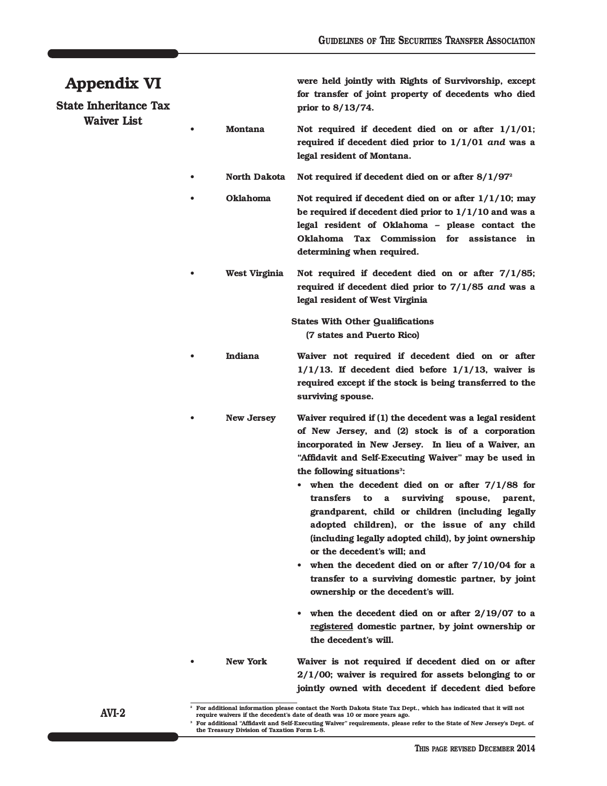## **Appendix VI**

**State Inheritance Tax Waiver List**

**were held jointly with Rights of Survivorship, except for transfer of joint property of decedents who died prior to 8/13/74.**

- **• Montana Not required if decedent died on or after 1/1/01; required if decedent died prior to 1/1/01** *and* **was a legal resident of Montana.**
- **• North Dakota Not required if decedent died on or after 8/1/972**
	- **• Oklahoma Not required if decedent died on or after 1/1/10; may be required if decedent died prior to 1/1/10 and was a legal resident of Oklahoma – please contact the Oklahoma Tax Commission for assistance in determining when required.**
	- **• West Virginia Not required if decedent died on or after 7/1/85; required if decedent died prior to 7/1/85** *and* **was a legal resident of West Virginia**

**States With Other Qualifications (7 states and Puerto Rico)**

- **• Indiana Waiver not required if decedent died on or after 1/1/13. If decedent died before 1/1/13, waiver is required except if the stock is being transferred to the surviving spouse.**
	- **• New Jersey Waiver required if (1) the decedent was a legal resident of New Jersey, and (2) stock is of a corporation incorporated in New Jersey. In lieu of a Waiver, an "Affidavit and Self-Executing Waiver" may be used in the following situations**<sup>3</sup>:
		- **• when the decedent died on or after 7/1/88 for transfers to a surviving spouse, parent, grandparent, child or children (including legally adopted children), or the issue of any child (including legally adopted child), by joint ownership or the decedent's will; and**
		- **• when the decedent died on or after 7/10/04 for a transfer to a surviving domestic partner, by joint ownership or the decedent's will.**
		- **• when the decedent died on or after 2/19/07 to a registered domestic partner, by joint ownership or the decedent's will.**
		- **• New York Waiver is not required if decedent died on or after 2/1/00; waiver is required for assets belonging to or jointly owned with decedent if decedent died before**

For additional "Affidavit and Self-Executing Waiver" requirements, please refer to the State of New Jersey's Dept. of **the Treasury Division of Taxation Form L-8.**

**AVI-2**

<sup>&</sup>lt;sup>2</sup> For additional information please contact the North Dakota State Tax Dept., which has indicated that it will not **require waivers if the decedent's date of death was 10 or more years ago.**